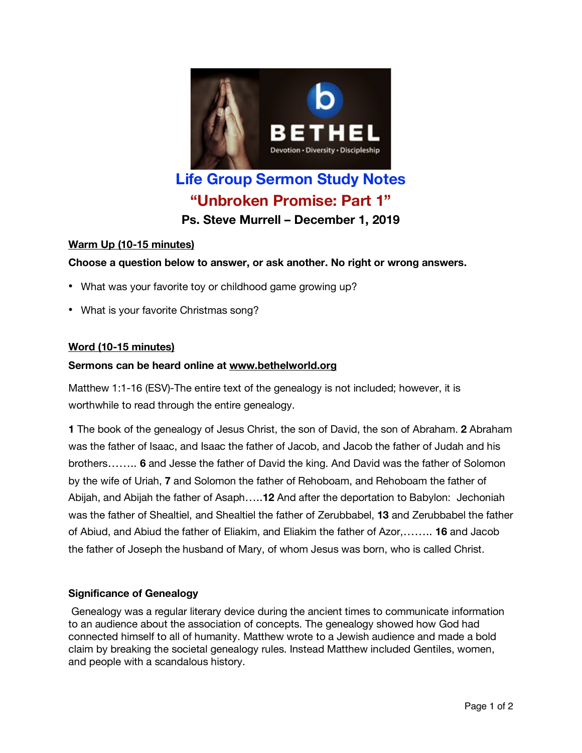

# **Life Group Sermon Study Notes "Unbroken Promise: Part 1"**

**Ps. Steve Murrell – December 1, 2019**

# **Warm Up (10-15 minutes)**

# **Choose a question below to answer, or ask another. No right or wrong answers.**

- What was your favorite toy or childhood game growing up?
- What is your favorite Christmas song?

# **Word (10-15 minutes)**

## **Sermons can be heard online at www.bethelworld.org**

Matthew 1:1-16 (ESV)-The entire text of the genealogy is not included; however, it is worthwhile to read through the entire genealogy.

**1** The book of the genealogy of Jesus Christ, the son of David, the son of Abraham. **2** Abraham was the father of Isaac, and Isaac the father of Jacob, and Jacob the father of Judah and his brothers…….. **6** and Jesse the father of David the king. And David was the father of Solomon by the wife of Uriah, **7** and Solomon the father of Rehoboam, and Rehoboam the father of Abijah, and Abijah the father of Asaph…..**12** And after the deportation to Babylon: Jechoniah was the father of Shealtiel, and Shealtiel the father of Zerubbabel, **13** and Zerubbabel the father of Abiud, and Abiud the father of Eliakim, and Eliakim the father of Azor,…….. **16** and Jacob the father of Joseph the husband of Mary, of whom Jesus was born, who is called Christ.

# **Significance of Genealogy**

Genealogy was a regular literary device during the ancient times to communicate information to an audience about the association of concepts. The genealogy showed how God had connected himself to all of humanity. Matthew wrote to a Jewish audience and made a bold claim by breaking the societal genealogy rules. Instead Matthew included Gentiles, women, and people with a scandalous history.